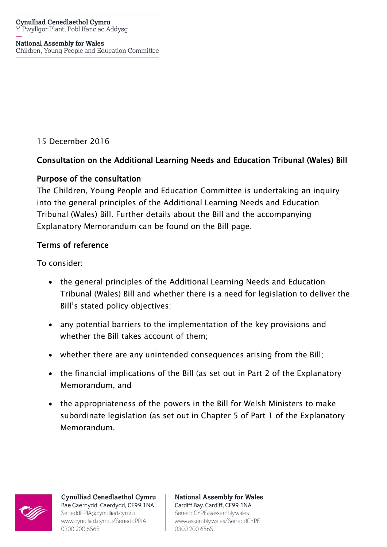#### **Cynulliad Cenedlaethol Cymru** Y Pwyllgor Plant, Pobl Ifanc ac Addysg

#### **National Assembly for Wales**

Children, Young People and Education Committee

15 December 2016

# Consultation on the Additional Learning Needs and Education Tribunal (Wales) Bill

# Purpose of the consultation

The Children, Young People and Education Committee is undertaking an inquiry into the general principles of the Additional Learning Needs and Education Tribunal (Wales) Bill. Further details about the Bill and the accompanying Explanatory Memorandum can be found on the Bill page.

# Terms of reference

To consider:

- the general principles of the Additional Learning Needs and Education Tribunal (Wales) Bill and whether there is a need for legislation to deliver the Bill's stated policy objectives;
- any potential barriers to the implementation of the key provisions and whether the Bill takes account of them;
- whether there are any unintended consequences arising from the Bill;
- the financial implications of the Bill (as set out in Part 2 of the Explanatory Memorandum, and
- the appropriateness of the powers in the Bill for Welsh Ministers to make subordinate legislation (as set out in Chapter 5 of Part 1 of the Explanatory Memorandum.



**Cynulliad Cenedlaethol Cymru** Bae Caerdydd, Caerdydd, CF99 1NA SeneddPPIA@cynulliad.cymru www.cynulliad.cymru/SeneddPPIA 0300 200 6565

**National Assembly for Wales** Cardiff Bay, Cardiff, CF99 1NA SeneddCYPE@assembly.wales www.assembly.wales/SeneddCYPE 0300 200 6565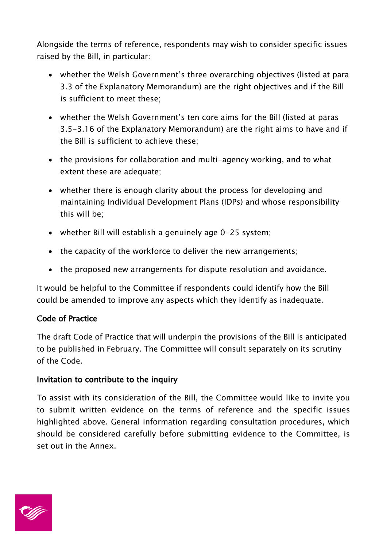Alongside the terms of reference, respondents may wish to consider specific issues raised by the Bill, in particular:

- whether the Welsh Government's three overarching objectives (listed at para 3.3 of the Explanatory Memorandum) are the right objectives and if the Bill is sufficient to meet these;
- whether the Welsh Government's ten core aims for the Bill (listed at paras 3.5-3.16 of the Explanatory Memorandum) are the right aims to have and if the Bill is sufficient to achieve these;
- the provisions for collaboration and multi-agency working, and to what extent these are adequate;
- whether there is enough clarity about the process for developing and maintaining Individual Development Plans (IDPs) and whose responsibility this will be;
- whether Bill will establish a genuinely age 0-25 system;
- the capacity of the workforce to deliver the new arrangements;
- the proposed new arrangements for dispute resolution and avoidance.

It would be helpful to the Committee if respondents could identify how the Bill could be amended to improve any aspects which they identify as inadequate.

### Code of Practice

The draft Code of Practice that will underpin the provisions of the Bill is anticipated to be published in February. The Committee will consult separately on its scrutiny of the Code.

### Invitation to contribute to the inquiry

To assist with its consideration of the Bill, the Committee would like to invite you to submit written evidence on the terms of reference and the specific issues highlighted above. General information regarding consultation procedures, which should be considered carefully before submitting evidence to the Committee, is set out in the Annex.

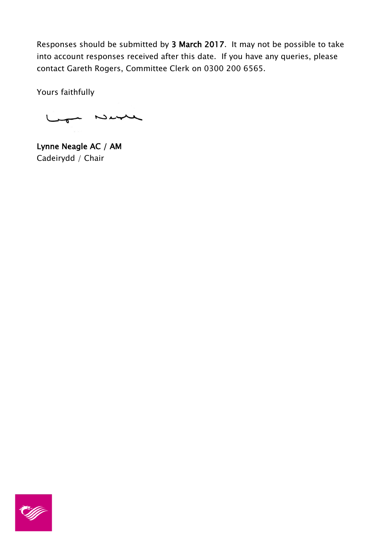Responses should be submitted by 3 March 2017. It may not be possible to take into account responses received after this date. If you have any queries, please contact Gareth Rogers, Committee Clerk on 0300 200 6565.

Yours faithfully

 $N$ 

Lynne Neagle AC / AM Cadeirydd / Chair

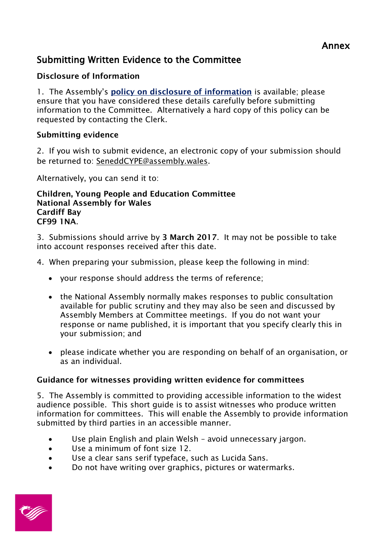# Submitting Written Evidence to the Committee

# **Disclosure of Information**

1. The Assembly's **[policy on disclosure of information](http://www.assemblywales.org/help/privacy/help-inquiry-privacy.htm)** is available; please ensure that you have considered these details carefully before submitting information to the Committee. Alternatively a hard copy of this policy can be requested by contacting the Clerk.

## **Submitting evidence**

2. If you wish to submit evidence, an electronic copy of your submission should be returned to: [SeneddCYPE@assembly.wales.](mailto:SeneddCYPE@assembly.wales)

Alternatively, you can send it to:

**Children, Young People and Education Committee National Assembly for Wales Cardiff Bay CF99 1NA**.

3. Submissions should arrive by **3 March 2017**. It may not be possible to take into account responses received after this date.

- 4. When preparing your submission, please keep the following in mind:
	- your response should address the terms of reference;
	- the National Assembly normally makes responses to public consultation available for public scrutiny and they may also be seen and discussed by Assembly Members at Committee meetings. If you do not want your response or name published, it is important that you specify clearly this in your submission; and
	- please indicate whether you are responding on behalf of an organisation, or as an individual.

### **Guidance for witnesses providing written evidence for committees**

5. The Assembly is committed to providing accessible information to the widest audience possible. This short guide is to assist witnesses who produce written information for committees. This will enable the Assembly to provide information submitted by third parties in an accessible manner.

- Use plain English and plain Welsh avoid unnecessary jargon.
- Use a minimum of font size 12.
- Use a clear sans serif typeface, such as Lucida Sans.
- Do not have writing over graphics, pictures or watermarks.